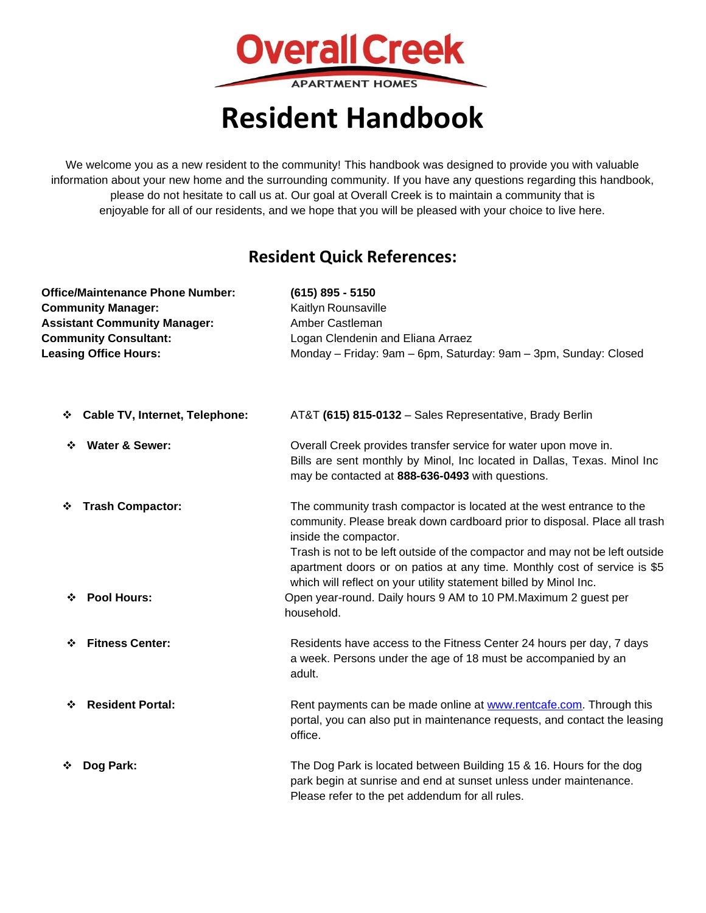

# **Resident Handbook**

We welcome you as a new resident to the community! This handbook was designed to provide you with valuable information about your new home and the surrounding community. If you have any questions regarding this handbook, please do not hesitate to call us at. Our goal at Overall Creek is to maintain a community that is enjoyable for all of our residents, and we hope that you will be pleased with your choice to live here.

# **Resident Quick References:**

| <b>Office/Maintenance Phone Number:</b><br><b>Community Manager:</b><br><b>Assistant Community Manager:</b><br><b>Community Consultant:</b><br><b>Leasing Office Hours:</b> | $(615)$ 895 - 5150<br>Kaitlyn Rounsaville<br>Amber Castleman<br>Logan Clendenin and Eliana Arraez<br>Monday - Friday: 9am - 6pm, Saturday: 9am - 3pm, Sunday: Closed                                                                                                                                                                                                                                        |
|-----------------------------------------------------------------------------------------------------------------------------------------------------------------------------|-------------------------------------------------------------------------------------------------------------------------------------------------------------------------------------------------------------------------------------------------------------------------------------------------------------------------------------------------------------------------------------------------------------|
| <b>Cable TV, Internet, Telephone:</b><br>❖                                                                                                                                  | AT&T (615) 815-0132 - Sales Representative, Brady Berlin                                                                                                                                                                                                                                                                                                                                                    |
| <b>Water &amp; Sewer:</b><br>❖                                                                                                                                              | Overall Creek provides transfer service for water upon move in.<br>Bills are sent monthly by Minol, Inc located in Dallas, Texas. Minol Inc<br>may be contacted at 888-636-0493 with questions.                                                                                                                                                                                                             |
| <b>Trash Compactor:</b><br>❖                                                                                                                                                | The community trash compactor is located at the west entrance to the<br>community. Please break down cardboard prior to disposal. Place all trash<br>inside the compactor.<br>Trash is not to be left outside of the compactor and may not be left outside<br>apartment doors or on patios at any time. Monthly cost of service is \$5<br>which will reflect on your utility statement billed by Minol Inc. |
| <b>Pool Hours:</b><br>❖                                                                                                                                                     | Open year-round. Daily hours 9 AM to 10 PM.Maximum 2 guest per<br>household.                                                                                                                                                                                                                                                                                                                                |
| <b>Fitness Center:</b><br>❖                                                                                                                                                 | Residents have access to the Fitness Center 24 hours per day, 7 days<br>a week. Persons under the age of 18 must be accompanied by an<br>adult.                                                                                                                                                                                                                                                             |
| <b>Resident Portal:</b><br>❖                                                                                                                                                | Rent payments can be made online at www.rentcafe.com. Through this<br>portal, you can also put in maintenance requests, and contact the leasing<br>office.                                                                                                                                                                                                                                                  |
| Dog Park:<br>❖                                                                                                                                                              | The Dog Park is located between Building 15 & 16. Hours for the dog<br>park begin at sunrise and end at sunset unless under maintenance.<br>Please refer to the pet addendum for all rules.                                                                                                                                                                                                                 |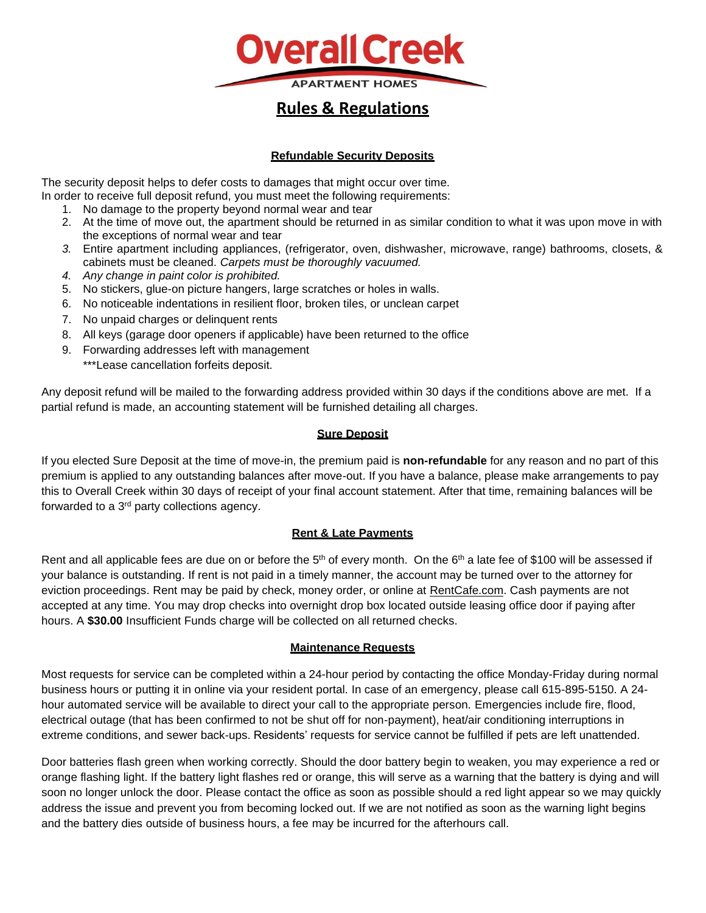

# **Rules & Regulations**

# **Refundable Security Deposits**

The security deposit helps to defer costs to damages that might occur over time.

- In order to receive full deposit refund, you must meet the following requirements:
	- 1. No damage to the property beyond normal wear and tear
	- 2. At the time of move out, the apartment should be returned in as similar condition to what it was upon move in with the exceptions of normal wear and tear
	- *3.* Entire apartment including appliances, (refrigerator, oven, dishwasher, microwave, range) bathrooms, closets, & cabinets must be cleaned. *Carpets must be thoroughly vacuumed.*
	- *4. Any change in paint color is prohibited.*
	- 5. No stickers, glue-on picture hangers, large scratches or holes in walls.
	- 6. No noticeable indentations in resilient floor, broken tiles, or unclean carpet
	- 7. No unpaid charges or delinquent rents
	- 8. All keys (garage door openers if applicable) have been returned to the office
	- 9. Forwarding addresses left with management \*\*\*Lease cancellation forfeits deposit.

Any deposit refund will be mailed to the forwarding address provided within 30 days if the conditions above are met. If a partial refund is made, an accounting statement will be furnished detailing all charges.

# **Sure Deposit**

If you elected Sure Deposit at the time of move-in, the premium paid is **non-refundable** for any reason and no part of this premium is applied to any outstanding balances after move-out. If you have a balance, please make arrangements to pay this to Overall Creek within 30 days of receipt of your final account statement. After that time, remaining balances will be forwarded to a 3<sup>rd</sup> party collections agency.

# **Rent & Late Payments**

Rent and all applicable fees are due on or before the  $5<sup>th</sup>$  of every month. On the  $6<sup>th</sup>$  a late fee of \$100 will be assessed if your balance is outstanding. If rent is not paid in a timely manner, the account may be turned over to the attorney for eviction proceedings. Rent may be paid by check, money order, or online at RentCafe.com. Cash payments are not accepted at any time. You may drop checks into overnight drop box located outside leasing office door if paying after hours. A **\$30.00** Insufficient Funds charge will be collected on all returned checks.

# **Maintenance Requests**

Most requests for service can be completed within a 24-hour period by contacting the office Monday-Friday during normal business hours or putting it in online via your resident portal. In case of an emergency, please call 615-895-5150. A 24 hour automated service will be available to direct your call to the appropriate person. Emergencies include fire, flood, electrical outage (that has been confirmed to not be shut off for non-payment), heat/air conditioning interruptions in extreme conditions, and sewer back-ups. Residents' requests for service cannot be fulfilled if pets are left unattended.

Door batteries flash green when working correctly. Should the door battery begin to weaken, you may experience a red or orange flashing light. If the battery light flashes red or orange, this will serve as a warning that the battery is dying and will soon no longer unlock the door. Please contact the office as soon as possible should a red light appear so we may quickly address the issue and prevent you from becoming locked out. If we are not notified as soon as the warning light begins and the battery dies outside of business hours, a fee may be incurred for the afterhours call.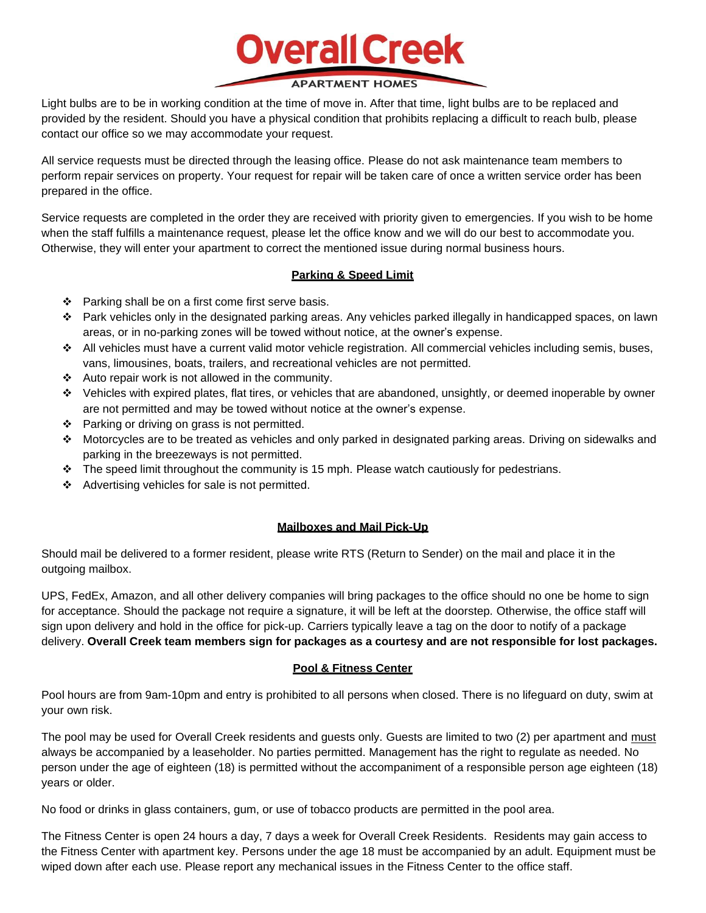

#### **APARTMENT HOMES**

Light bulbs are to be in working condition at the time of move in. After that time, light bulbs are to be replaced and provided by the resident. Should you have a physical condition that prohibits replacing a difficult to reach bulb, please contact our office so we may accommodate your request.

All service requests must be directed through the leasing office. Please do not ask maintenance team members to perform repair services on property. Your request for repair will be taken care of once a written service order has been prepared in the office.

Service requests are completed in the order they are received with priority given to emergencies. If you wish to be home when the staff fulfills a maintenance request, please let the office know and we will do our best to accommodate you. Otherwise, they will enter your apartment to correct the mentioned issue during normal business hours.

# **Parking & Speed Limit**

- ❖ Parking shall be on a first come first serve basis.
- ❖ Park vehicles only in the designated parking areas. Any vehicles parked illegally in handicapped spaces, on lawn areas, or in no-parking zones will be towed without notice, at the owner's expense.
- ❖ All vehicles must have a current valid motor vehicle registration. All commercial vehicles including semis, buses, vans, limousines, boats, trailers, and recreational vehicles are not permitted.
- ❖ Auto repair work is not allowed in the community.
- ❖ Vehicles with expired plates, flat tires, or vehicles that are abandoned, unsightly, or deemed inoperable by owner are not permitted and may be towed without notice at the owner's expense.
- ❖ Parking or driving on grass is not permitted.
- ❖ Motorcycles are to be treated as vehicles and only parked in designated parking areas. Driving on sidewalks and parking in the breezeways is not permitted.
- ❖ The speed limit throughout the community is 15 mph. Please watch cautiously for pedestrians.
- ❖ Advertising vehicles for sale is not permitted.

# **Mailboxes and Mail Pick-Up**

Should mail be delivered to a former resident, please write RTS (Return to Sender) on the mail and place it in the outgoing mailbox.

UPS, FedEx, Amazon, and all other delivery companies will bring packages to the office should no one be home to sign for acceptance. Should the package not require a signature, it will be left at the doorstep. Otherwise, the office staff will sign upon delivery and hold in the office for pick-up. Carriers typically leave a tag on the door to notify of a package delivery. Overall Creek team members sign for packages as a courtesy and are not responsible for lost packages.

# **Pool & Fitness Center**

Pool hours are from 9am-10pm and entry is prohibited to all persons when closed. There is no lifeguard on duty, swim at your own risk.

The pool may be used for Overall Creek residents and guests only. Guests are limited to two (2) per apartment and must always be accompanied by a leaseholder. No parties permitted. Management has the right to regulate as needed. No person under the age of eighteen (18) is permitted without the accompaniment of a responsible person age eighteen (18) years or older.

No food or drinks in glass containers, gum, or use of tobacco products are permitted in the pool area.

The Fitness Center is open 24 hours a day, 7 days a week for Overall Creek Residents. Residents may gain access to the Fitness Center with apartment key. Persons under the age 18 must be accompanied by an adult. Equipment must be wiped down after each use. Please report any mechanical issues in the Fitness Center to the office staff.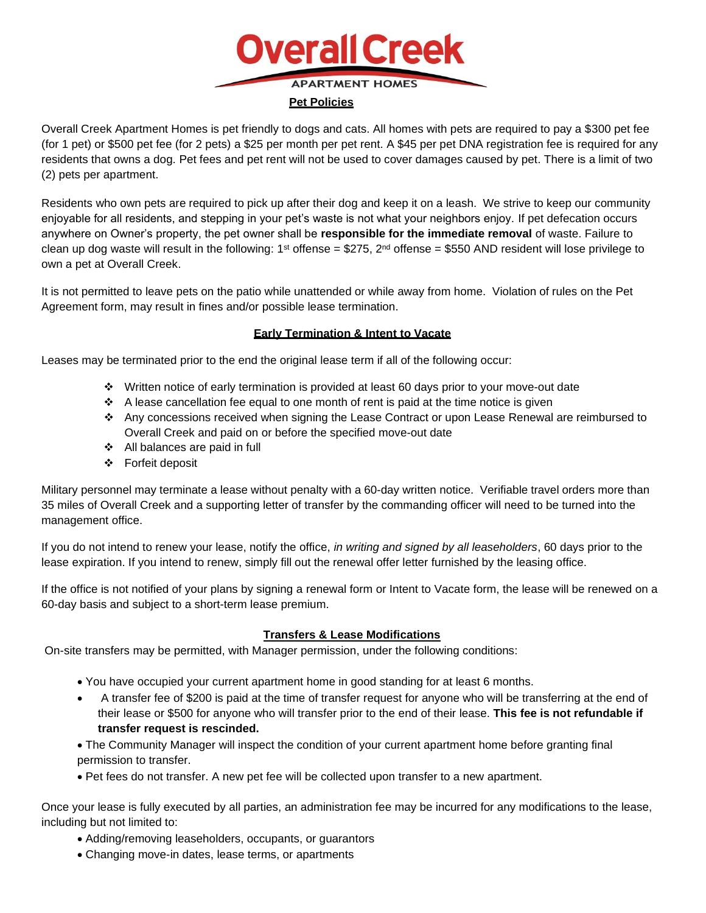

Overall Creek Apartment Homes is pet friendly to dogs and cats. All homes with pets are required to pay a \$300 pet fee (for 1 pet) or \$500 pet fee (for 2 pets) a \$25 per month per pet rent. A \$45 per pet DNA registration fee is required for any residents that owns a dog. Pet fees and pet rent will not be used to cover damages caused by pet. There is a limit of two (2) pets per apartment.

Residents who own pets are required to pick up after their dog and keep it on a leash. We strive to keep our community enjoyable for all residents, and stepping in your pet's waste is not what your neighbors enjoy. If pet defecation occurs anywhere on Owner's property, the pet owner shall be **responsible for the immediate removal** of waste. Failure to clean up dog waste will result in the following: 1st offense = \$275, 2<sup>nd</sup> offense = \$550 AND resident will lose privilege to own a pet at Overall Creek.

It is not permitted to leave pets on the patio while unattended or while away from home. Violation of rules on the Pet Agreement form, may result in fines and/or possible lease termination.

# **Early Termination & Intent to Vacate**

Leases may be terminated prior to the end the original lease term if all of the following occur:

- ❖ Written notice of early termination is provided at least 60 days prior to your move-out date
- $\div$  A lease cancellation fee equal to one month of rent is paid at the time notice is given
- ❖ Any concessions received when signing the Lease Contract or upon Lease Renewal are reimbursed to Overall Creek and paid on or before the specified move-out date
- ❖ All balances are paid in full
- ❖ Forfeit deposit

Military personnel may terminate a lease without penalty with a 60-day written notice. Verifiable travel orders more than 35 miles of Overall Creek and a supporting letter of transfer by the commanding officer will need to be turned into the management office.

If you do not intend to renew your lease, notify the office, *in writing and signed by all leaseholders*, 60 days prior to the lease expiration. If you intend to renew, simply fill out the renewal offer letter furnished by the leasing office.

If the office is not notified of your plans by signing a renewal form or Intent to Vacate form, the lease will be renewed on a 60-day basis and subject to a short-term lease premium.

# **Transfers & Lease Modifications**

On-site transfers may be permitted, with Manager permission, under the following conditions:

- You have occupied your current apartment home in good standing for at least 6 months.
- A transfer fee of \$200 is paid at the time of transfer request for anyone who will be transferring at the end of their lease or \$500 for anyone who will transfer prior to the end of their lease. **This fee is not refundable if transfer request is rescinded.**

• The Community Manager will inspect the condition of your current apartment home before granting final permission to transfer.

• Pet fees do not transfer. A new pet fee will be collected upon transfer to a new apartment.

Once your lease is fully executed by all parties, an administration fee may be incurred for any modifications to the lease, including but not limited to:

- Adding/removing leaseholders, occupants, or guarantors
- Changing move-in dates, lease terms, or apartments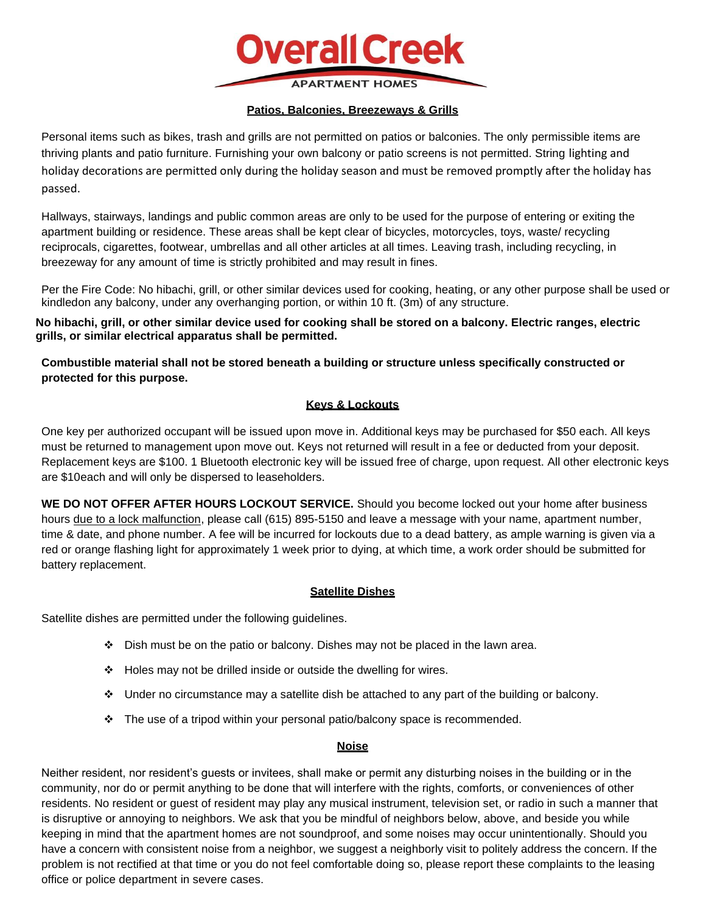

#### **Patios, Balconies, Breezeways & Grills**

Personal items such as bikes, trash and grills are not permitted on patios or balconies. The only permissible items are thriving plants and patio furniture. Furnishing your own balcony or patio screens is not permitted. String lighting and holiday decorations are permitted only during the holiday season and must be removed promptly after the holiday has passed.

Hallways, stairways, landings and public common areas are only to be used for the purpose of entering or exiting the apartment building or residence. These areas shall be kept clear of bicycles, motorcycles, toys, waste/ recycling reciprocals, cigarettes, footwear, umbrellas and all other articles at all times. Leaving trash, including recycling, in breezeway for any amount of time is strictly prohibited and may result in fines.

Per the Fire Code: No hibachi, grill, or other similar devices used for cooking, heating, or any other purpose shall be used or kindledon any balcony, under any overhanging portion, or within 10 ft. (3m) of any structure.

**No hibachi, grill, or other similar device used for cooking shall be stored on a balcony. Electric ranges, electric grills, or similar electrical apparatus shall be permitted.**

**Combustible material shall not be stored beneath a building or structure unless specifically constructed or protected for this purpose.**

# **Keys & Lockouts**

One key per authorized occupant will be issued upon move in. Additional keys may be purchased for \$50 each. All keys must be returned to management upon move out. Keys not returned will result in a fee or deducted from your deposit. Replacement keys are \$100. 1 Bluetooth electronic key will be issued free of charge, upon request. All other electronic keys are \$10each and will only be dispersed to leaseholders.

**WE DO NOT OFFER AFTER HOURS LOCKOUT SERVICE.** Should you become locked out your home after business hours due to a lock malfunction, please call (615) 895-5150 and leave a message with your name, apartment number, time & date, and phone number. A fee will be incurred for lockouts due to a dead battery, as ample warning is given via a red or orange flashing light for approximately 1 week prior to dying, at which time, a work order should be submitted for battery replacement.

#### **Satellite Dishes**

Satellite dishes are permitted under the following guidelines.

- $\div$  Dish must be on the patio or balcony. Dishes may not be placed in the lawn area.
- ❖ Holes may not be drilled inside or outside the dwelling for wires.
- ❖ Under no circumstance may a satellite dish be attached to any part of the building or balcony.
- ❖ The use of a tripod within your personal patio/balcony space is recommended.

#### **Noise**

Neither resident, nor resident's guests or invitees, shall make or permit any disturbing noises in the building or in the community, nor do or permit anything to be done that will interfere with the rights, comforts, or conveniences of other residents. No resident or guest of resident may play any musical instrument, television set, or radio in such a manner that is disruptive or annoying to neighbors. We ask that you be mindful of neighbors below, above, and beside you while keeping in mind that the apartment homes are not soundproof, and some noises may occur unintentionally. Should you have a concern with consistent noise from a neighbor, we suggest a neighborly visit to politely address the concern. If the problem is not rectified at that time or you do not feel comfortable doing so, please report these complaints to the leasing office or police department in severe cases.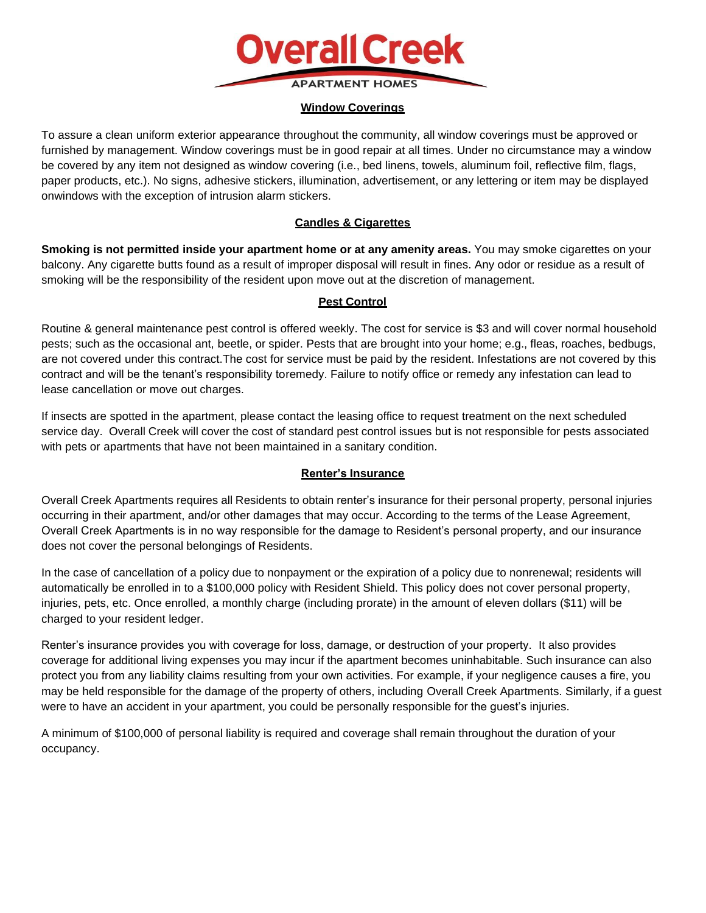

#### **Window Coverings**

To assure a clean uniform exterior appearance throughout the community, all window coverings must be approved or furnished by management. Window coverings must be in good repair at all times. Under no circumstance may a window be covered by any item not designed as window covering (i.e., bed linens, towels, aluminum foil, reflective film, flags, paper products, etc.). No signs, adhesive stickers, illumination, advertisement, or any lettering or item may be displayed onwindows with the exception of intrusion alarm stickers.

# **Candles & Cigarettes**

**Smoking is not permitted inside your apartment home or at any amenity areas.** You may smoke cigarettes on your balcony. Any cigarette butts found as a result of improper disposal will result in fines. Any odor or residue as a result of smoking will be the responsibility of the resident upon move out at the discretion of management.

#### **Pest Control**

Routine & general maintenance pest control is offered weekly. The cost for service is \$3 and will cover normal household pests; such as the occasional ant, beetle, or spider. Pests that are brought into your home; e.g., fleas, roaches, bedbugs, are not covered under this contract.The cost for service must be paid by the resident. Infestations are not covered by this contract and will be the tenant's responsibility toremedy. Failure to notify office or remedy any infestation can lead to lease cancellation or move out charges.

If insects are spotted in the apartment, please contact the leasing office to request treatment on the next scheduled service day. Overall Creek will cover the cost of standard pest control issues but is not responsible for pests associated with pets or apartments that have not been maintained in a sanitary condition.

# **Renter's Insurance**

Overall Creek Apartments requires all Residents to obtain renter's insurance for their personal property, personal injuries occurring in their apartment, and/or other damages that may occur. According to the terms of the Lease Agreement, Overall Creek Apartments is in no way responsible for the damage to Resident's personal property, and our insurance does not cover the personal belongings of Residents.

In the case of cancellation of a policy due to nonpayment or the expiration of a policy due to nonrenewal; residents will automatically be enrolled in to a \$100,000 policy with Resident Shield. This policy does not cover personal property, injuries, pets, etc. Once enrolled, a monthly charge (including prorate) in the amount of eleven dollars (\$11) will be charged to your resident ledger.

Renter's insurance provides you with coverage for loss, damage, or destruction of your property. It also provides coverage for additional living expenses you may incur if the apartment becomes uninhabitable. Such insurance can also protect you from any liability claims resulting from your own activities. For example, if your negligence causes a fire, you may be held responsible for the damage of the property of others, including Overall Creek Apartments. Similarly, if a guest were to have an accident in your apartment, you could be personally responsible for the guest's injuries.

A minimum of \$100,000 of personal liability is required and coverage shall remain throughout the duration of your occupancy.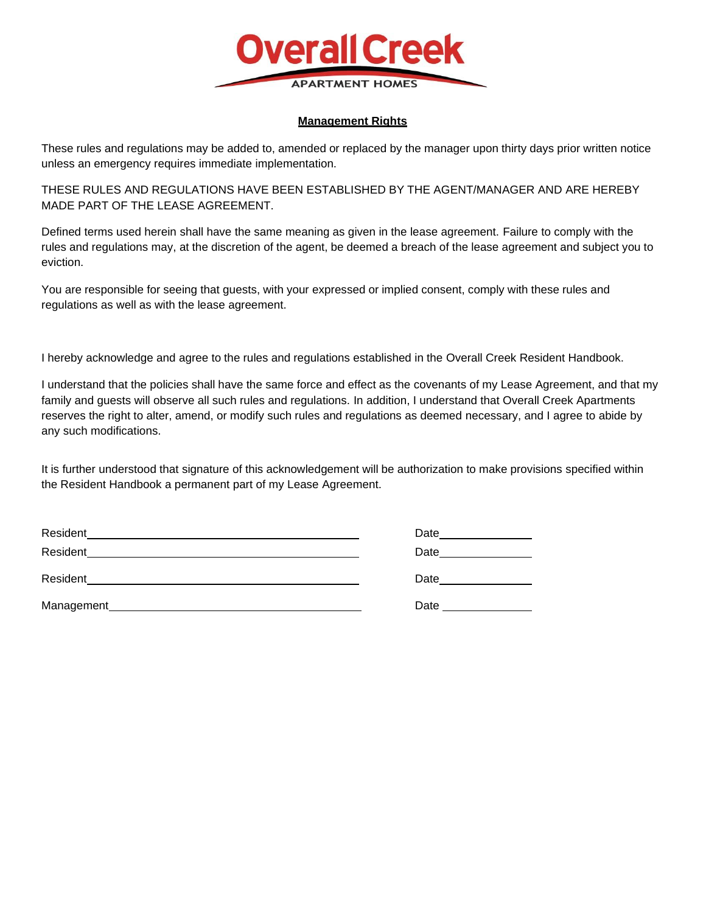

# **Management Rights**

These rules and regulations may be added to, amended or replaced by the manager upon thirty days prior written notice unless an emergency requires immediate implementation.

THESE RULES AND REGULATIONS HAVE BEEN ESTABLISHED BY THE AGENT/MANAGER AND ARE HEREBY MADE PART OF THE LEASE AGREEMENT.

Defined terms used herein shall have the same meaning as given in the lease agreement. Failure to comply with the rules and regulations may, at the discretion of the agent, be deemed a breach of the lease agreement and subject you to eviction.

You are responsible for seeing that guests, with your expressed or implied consent, comply with these rules and regulations as well as with the lease agreement.

I hereby acknowledge and agree to the rules and regulations established in the Overall Creek Resident Handbook.

I understand that the policies shall have the same force and effect as the covenants of my Lease Agreement, and that my family and guests will observe all such rules and regulations. In addition, I understand that Overall Creek Apartments reserves the right to alter, amend, or modify such rules and regulations as deemed necessary, and I agree to abide by any such modifications.

It is further understood that signature of this acknowledgement will be authorization to make provisions specified within the Resident Handbook a permanent part of my Lease Agreement.

| Resident   | Date |
|------------|------|
| Resident   | Date |
| Resident   | Date |
| Management | Date |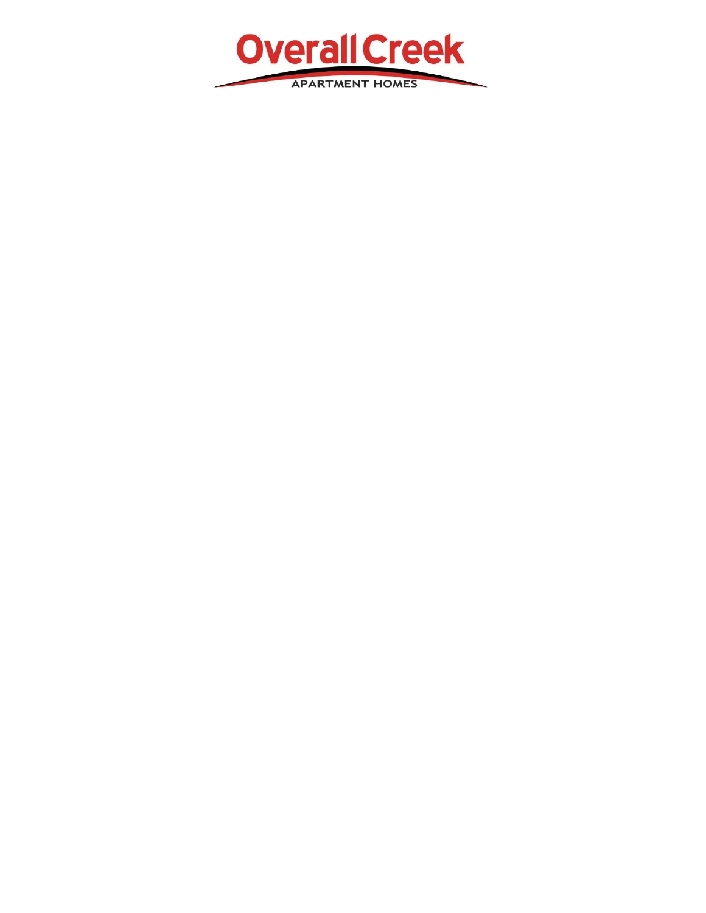